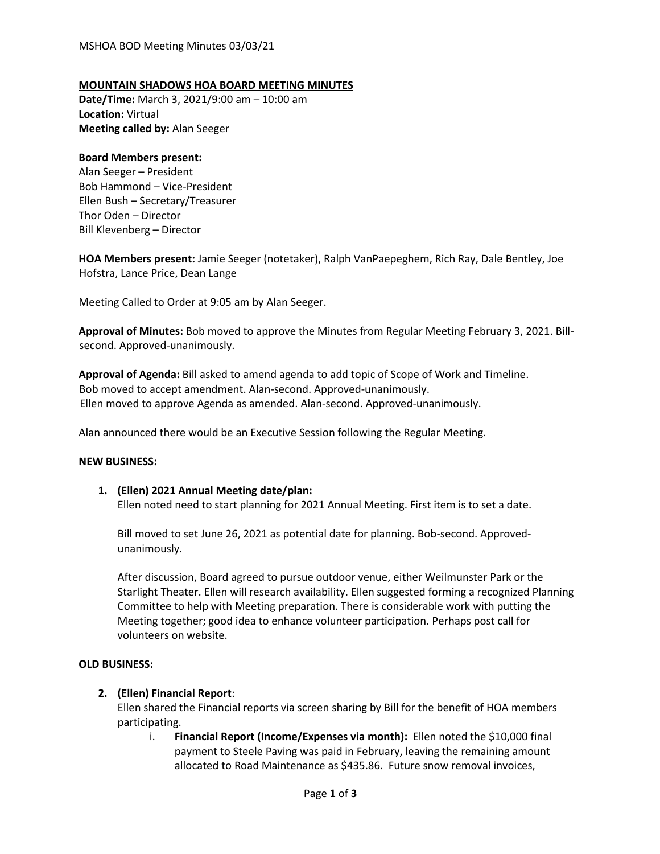#### **MOUNTAIN SHADOWS HOA BOARD MEETING MINUTES**

**Date/Time:** March 3, 2021/9:00 am – 10:00 am **Location:** Virtual **Meeting called by:** Alan Seeger

#### **Board Members present:**

Alan Seeger – President Bob Hammond – Vice-President Ellen Bush – Secretary/Treasurer Thor Oden – Director Bill Klevenberg – Director

**HOA Members present:** Jamie Seeger (notetaker), Ralph VanPaepeghem, Rich Ray, Dale Bentley, Joe Hofstra, Lance Price, Dean Lange

Meeting Called to Order at 9:05 am by Alan Seeger.

**Approval of Minutes:** Bob moved to approve the Minutes from Regular Meeting February 3, 2021. Billsecond. Approved-unanimously.

**Approval of Agenda:** Bill asked to amend agenda to add topic of Scope of Work and Timeline. Bob moved to accept amendment. Alan-second. Approved-unanimously. Ellen moved to approve Agenda as amended. Alan-second. Approved-unanimously.

Alan announced there would be an Executive Session following the Regular Meeting.

#### **NEW BUSINESS:**

**1. (Ellen) 2021 Annual Meeting date/plan:** Ellen noted need to start planning for 2021 Annual Meeting. First item is to set a date.

Bill moved to set June 26, 2021 as potential date for planning. Bob-second. Approvedunanimously.

After discussion, Board agreed to pursue outdoor venue, either Weilmunster Park or the Starlight Theater. Ellen will research availability. Ellen suggested forming a recognized Planning Committee to help with Meeting preparation. There is considerable work with putting the Meeting together; good idea to enhance volunteer participation. Perhaps post call for volunteers on website.

#### **OLD BUSINESS:**

# **2. (Ellen) Financial Report**:

Ellen shared the Financial reports via screen sharing by Bill for the benefit of HOA members participating.

i. **Financial Report (Income/Expenses via month):** Ellen noted the \$10,000 final payment to Steele Paving was paid in February, leaving the remaining amount allocated to Road Maintenance as \$435.86. Future snow removal invoices,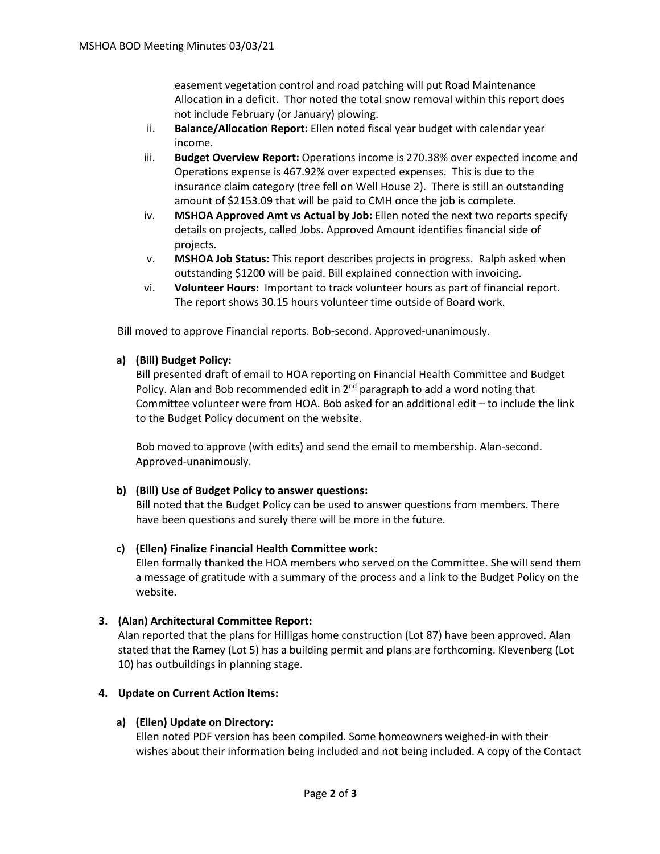easement vegetation control and road patching will put Road Maintenance Allocation in a deficit. Thor noted the total snow removal within this report does not include February (or January) plowing.

- ii. **Balance/Allocation Report:** Ellen noted fiscal year budget with calendar year income.
- iii. **Budget Overview Report:** Operations income is 270.38% over expected income and Operations expense is 467.92% over expected expenses. This is due to the insurance claim category (tree fell on Well House 2). There is still an outstanding amount of \$2153.09 that will be paid to CMH once the job is complete.
- iv. **MSHOA Approved Amt vs Actual by Job:** Ellen noted the next two reports specify details on projects, called Jobs. Approved Amount identifies financial side of projects.
- v. **MSHOA Job Status:** This report describes projects in progress. Ralph asked when outstanding \$1200 will be paid. Bill explained connection with invoicing.
- vi. **Volunteer Hours:** Important to track volunteer hours as part of financial report. The report shows 30.15 hours volunteer time outside of Board work.

Bill moved to approve Financial reports. Bob-second. Approved-unanimously.

# **a) (Bill) Budget Policy:**

Bill presented draft of email to HOA reporting on Financial Health Committee and Budget Policy. Alan and Bob recommended edit in  $2<sup>nd</sup>$  paragraph to add a word noting that Committee volunteer were from HOA. Bob asked for an additional edit – to include the link to the Budget Policy document on the website.

Bob moved to approve (with edits) and send the email to membership. Alan-second. Approved-unanimously.

# **b) (Bill) Use of Budget Policy to answer questions:**

Bill noted that the Budget Policy can be used to answer questions from members. There have been questions and surely there will be more in the future.

# **c) (Ellen) Finalize Financial Health Committee work:**

Ellen formally thanked the HOA members who served on the Committee. She will send them a message of gratitude with a summary of the process and a link to the Budget Policy on the website.

# **3. (Alan) Architectural Committee Report:**

Alan reported that the plans for HilIigas home construction (Lot 87) have been approved. Alan stated that the Ramey (Lot 5) has a building permit and plans are forthcoming. Klevenberg (Lot 10) has outbuildings in planning stage.

# **4. Update on Current Action Items:**

# **a) (Ellen) Update on Directory:**

Ellen noted PDF version has been compiled. Some homeowners weighed-in with their wishes about their information being included and not being included. A copy of the Contact